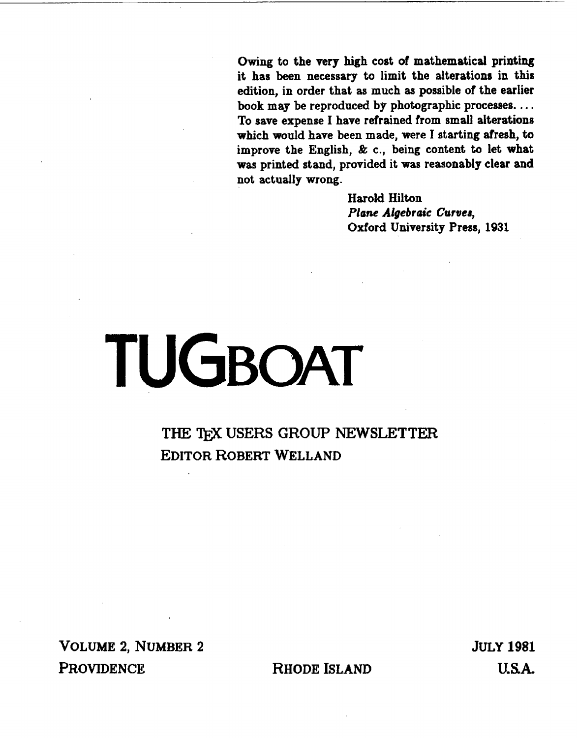Owing to the very high cost of mathematical printing it has **been** necessary to limit the alterations in this edition, in order that as **much** as possible of the earlier book **may** be reproduced by photographic processes. . . . To save expense I have refrained from small alterations which would have been made, were I starting afresh, to improve the English, & c., being content to let what **was** printed stand, provided it was reasonably clear and not actually **wrong.** 

> Harold Hilton Plane Algebraic **Curuea,**  Oxford University Press, 1931

## TUGBOAT

**THE TEX USERS GROUP NEWSLETTER EDITOR ROBERT WELLAND** 

**VOLUME 2, NUMBER 2 PROVIDENCE** 

RHODE ISLAND

**JULY 1981** U.S.A.